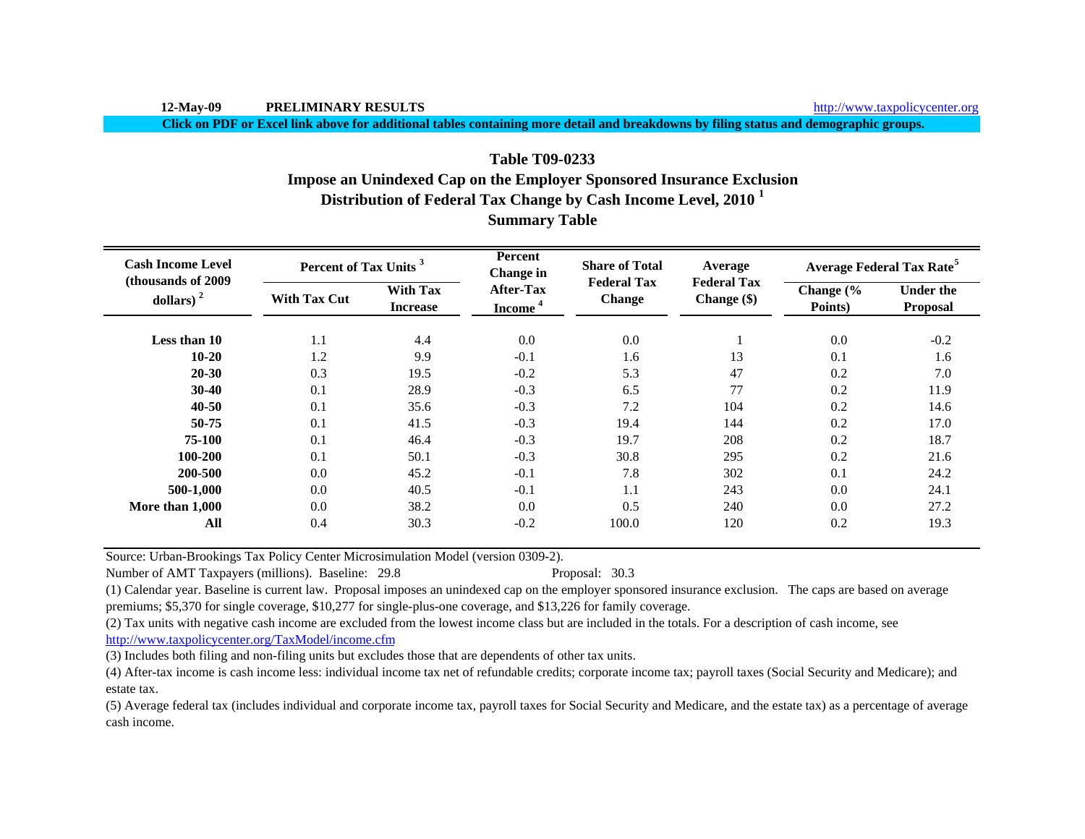**Click on PDF or Excel link above for additional tables containing more detail and breakdowns by filing status and demographic groups.**

# **Distribution of Federal Tax Change by Cash Income Level, 2010 <sup>1</sup> Summary Table Table T09-0233Impose an Unindexed Cap on the Employer Sponsored Insurance Exclusion**

| <b>Cash Income Level</b><br>(thousands of 2009 | Percent of Tax Units <sup>3</sup> |                                    | <b>Percent</b><br><b>Change</b> in      | <b>Share of Total</b>               | Average                           | <b>Average Federal Tax Rate<sup>5</sup></b> |                                     |  |
|------------------------------------------------|-----------------------------------|------------------------------------|-----------------------------------------|-------------------------------------|-----------------------------------|---------------------------------------------|-------------------------------------|--|
| dollars) $2$                                   | <b>With Tax Cut</b>               | <b>With Tax</b><br><b>Increase</b> | <b>After-Tax</b><br>Income <sup>4</sup> | <b>Federal Tax</b><br><b>Change</b> | <b>Federal Tax</b><br>Change (\$) | Change (%<br>Points)                        | <b>Under the</b><br><b>Proposal</b> |  |
| Less than 10                                   | 1.1                               | 4.4                                | 0.0                                     | 0.0                                 |                                   | 0.0                                         | $-0.2$                              |  |
| $10 - 20$                                      | 1.2                               | 9.9                                | $-0.1$                                  | 1.6                                 | 13                                | 0.1                                         | 1.6                                 |  |
| $20 - 30$                                      | 0.3                               | 19.5                               | $-0.2$                                  | 5.3                                 | 47                                | 0.2                                         | 7.0                                 |  |
| $30-40$                                        | 0.1                               | 28.9                               | $-0.3$                                  | 6.5                                 | 77                                | 0.2                                         | 11.9                                |  |
| $40 - 50$                                      | 0.1                               | 35.6                               | $-0.3$                                  | 7.2                                 | 104                               | 0.2                                         | 14.6                                |  |
| 50-75                                          | 0.1                               | 41.5                               | $-0.3$                                  | 19.4                                | 144                               | 0.2                                         | 17.0                                |  |
| 75-100                                         | 0.1                               | 46.4                               | $-0.3$                                  | 19.7                                | 208                               | 0.2                                         | 18.7                                |  |
| 100-200                                        | 0.1                               | 50.1                               | $-0.3$                                  | 30.8                                | 295                               | 0.2                                         | 21.6                                |  |
| 200-500                                        | 0.0                               | 45.2                               | $-0.1$                                  | 7.8                                 | 302                               | 0.1                                         | 24.2                                |  |
| 500-1,000                                      | 0.0                               | 40.5                               | $-0.1$                                  | 1.1                                 | 243                               | 0.0                                         | 24.1                                |  |
| More than 1,000                                | 0.0                               | 38.2                               | 0.0                                     | 0.5                                 | 240                               | 0.0                                         | 27.2                                |  |
| All                                            | 0.4                               | 30.3                               | $-0.2$                                  | 100.0                               | 120                               | 0.2                                         | 19.3                                |  |

Source: Urban-Brookings Tax Policy Center Microsimulation Model (version 0309-2).

Number of AMT Taxpayers (millions). Baseline: 29.8 Proposal: 30.3

(1) Calendar year. Baseline is current law. Proposal imposes an unindexed cap on the employer sponsored insurance exclusion. The caps are based on average premiums; \$5,370 for single coverage, \$10,277 for single-plus-one coverage, and \$13,226 for family coverage.

(2) Tax units with negative cash income are excluded from the lowest income class but are included in the totals. For a description of cash income, see

http://www.taxpolicycenter.org/TaxModel/income.cfm

(3) Includes both filing and non-filing units but excludes those that are dependents of other tax units.

(4) After-tax income is cash income less: individual income tax net of refundable credits; corporate income tax; payroll taxes (Social Security and Medicare); and estate tax.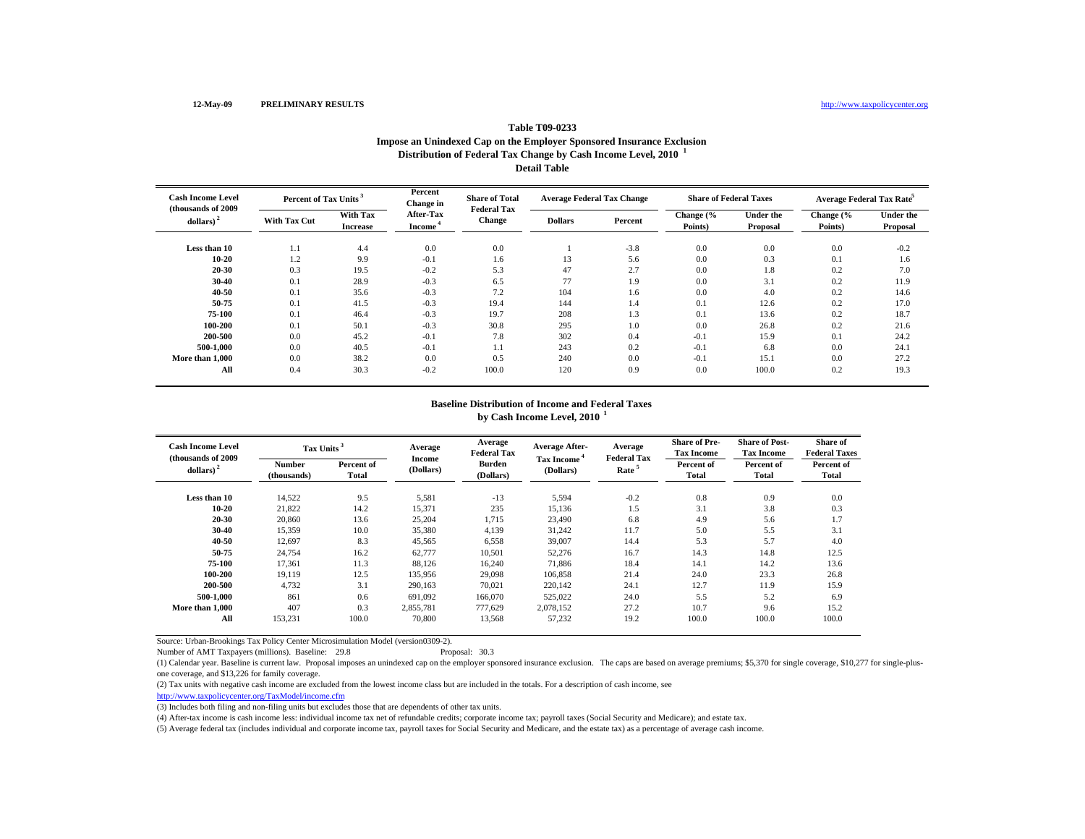#### **Table T09-0233 Impose an Unindexed Cap on the Employer Sponsored Insurance Exclusion Distribution of Federal Tax Change by Cash Income Level, 2010 <sup>1</sup> Detail Table**

| <b>Cash Income Level</b><br>(thousands of 2009) | Percent of Tax Units |                                    | Percent<br>Change in                    | <b>Share of Total</b><br><b>Federal Tax</b> | <b>Average Federal Tax Change</b> |         | <b>Share of Federal Taxes</b> |                              | Average Federal Tax Rate <sup>5</sup> |                              |
|-------------------------------------------------|----------------------|------------------------------------|-----------------------------------------|---------------------------------------------|-----------------------------------|---------|-------------------------------|------------------------------|---------------------------------------|------------------------------|
| dollars)                                        | <b>With Tax Cut</b>  | <b>With Tax</b><br><b>Increase</b> | <b>After-Tax</b><br>Income <sup>4</sup> | Change                                      | <b>Dollars</b>                    | Percent | Change (%<br>Points)          | <b>Under the</b><br>Proposal | Change (%<br>Points)                  | <b>Under the</b><br>Proposal |
| Less than 10                                    | 1.1                  | 4.4                                | 0.0                                     | 0.0                                         |                                   | $-3.8$  | 0.0                           | 0.0                          | 0.0                                   | $-0.2$                       |
| $10 - 20$                                       | 1.2                  | 9.9                                | $-0.1$                                  | 1.6                                         | 13                                | 5.6     | 0.0                           | 0.3                          | 0.1                                   | 1.6                          |
| $20 - 30$                                       | 0.3                  | 19.5                               | $-0.2$                                  | 5.3                                         | 47                                | 2.7     | 0.0                           | 1.8                          | 0.2                                   | 7.0                          |
| $30 - 40$                                       | 0.1                  | 28.9                               | $-0.3$                                  | 6.5                                         | 77                                | 1.9     | 0.0                           | 3.1                          | 0.2                                   | 11.9                         |
| $40 - 50$                                       | 0.1                  | 35.6                               | $-0.3$                                  | 7.2                                         | 104                               | 1.6     | 0.0                           | 4.0                          | 0.2                                   | 14.6                         |
| 50-75                                           | 0.1                  | 41.5                               | $-0.3$                                  | 19.4                                        | 144                               | 1.4     | 0.1                           | 12.6                         | 0.2                                   | 17.0                         |
| 75-100                                          | 0.1                  | 46.4                               | $-0.3$                                  | 19.7                                        | 208                               | 1.3     | 0.1                           | 13.6                         | 0.2                                   | 18.7                         |
| 100-200                                         | 0.1                  | 50.1                               | $-0.3$                                  | 30.8                                        | 295                               | 1.0     | 0.0                           | 26.8                         | 0.2                                   | 21.6                         |
| 200-500                                         | 0.0                  | 45.2                               | $-0.1$                                  | 7.8                                         | 302                               | 0.4     | $-0.1$                        | 15.9                         | 0.1                                   | 24.2                         |
| 500-1.000                                       | 0.0                  | 40.5                               | $-0.1$                                  | 1.1                                         | 243                               | 0.2     | $-0.1$                        | 6.8                          | 0.0                                   | 24.1                         |
| More than 1,000                                 | 0.0                  | 38.2                               | 0.0                                     | 0.5                                         | 240                               | 0.0     | $-0.1$                        | 15.1                         | 0.0                                   | 27.2                         |
| All                                             | 0.4                  | 30.3                               | $-0.2$                                  | 100.0                                       | 120                               | 0.9     | 0.0                           | 100.0                        | 0.2                                   | 19.3                         |

## **by Cash Income Level, 2010 <sup>1</sup> Baseline Distribution of Income and Federal Taxes**

| <b>Cash Income Level</b><br>(thousands of 2009) | Tax Units <sup>3</sup>       |                     | Average                    | Average<br><b>Federal Tax</b> | <b>Average After-</b>   | Average<br><b>Federal Tax</b> | <b>Share of Pre-</b><br><b>Tax Income</b> | <b>Share of Post-</b><br><b>Tax Income</b> | <b>Share of</b><br><b>Federal Taxes</b> |
|-------------------------------------------------|------------------------------|---------------------|----------------------------|-------------------------------|-------------------------|-------------------------------|-------------------------------------------|--------------------------------------------|-----------------------------------------|
| dollars) $2$                                    | <b>Number</b><br>(thousands) | Percent of<br>Total | <b>Income</b><br>(Dollars) | <b>Burden</b><br>(Dollars)    | Tax Income<br>(Dollars) | Rate <sup>5</sup>             | Percent of<br><b>Total</b>                | Percent of<br>Total                        | Percent of<br>Total                     |
| Less than 10                                    | 14,522                       | 9.5                 | 5,581                      | $-13$                         | 5,594                   | $-0.2$                        | 0.8                                       | 0.9                                        | 0.0                                     |
| $10 - 20$                                       | 21,822                       | 14.2                | 15,371                     | 235                           | 15,136                  | 1.5                           | 3.1                                       | 3.8                                        | 0.3                                     |
| 20-30                                           | 20,860                       | 13.6                | 25,204                     | 1,715                         | 23,490                  | 6.8                           | 4.9                                       | 5.6                                        | 1.7                                     |
| 30-40                                           | 15,359                       | 10.0                | 35,380                     | 4,139                         | 31,242                  | 11.7                          | 5.0                                       | 5.5                                        | 3.1                                     |
| 40-50                                           | 12,697                       | 8.3                 | 45,565                     | 6,558                         | 39,007                  | 14.4                          | 5.3                                       | 5.7                                        | 4.0                                     |
| 50-75                                           | 24,754                       | 16.2                | 62,777                     | 10,501                        | 52,276                  | 16.7                          | 14.3                                      | 14.8                                       | 12.5                                    |
| 75-100                                          | 17,361                       | 11.3                | 88,126                     | 16,240                        | 71.886                  | 18.4                          | 14.1                                      | 14.2                                       | 13.6                                    |
| 100-200                                         | 19.119                       | 12.5                | 135,956                    | 29,098                        | 106,858                 | 21.4                          | 24.0                                      | 23.3                                       | 26.8                                    |
| 200-500                                         | 4.732                        | 3.1                 | 290,163                    | 70,021                        | 220.142                 | 24.1                          | 12.7                                      | 11.9                                       | 15.9                                    |
| 500-1.000                                       | 861                          | 0.6                 | 691,092                    | 166,070                       | 525,022                 | 24.0                          | 5.5                                       | 5.2                                        | 6.9                                     |
| More than 1.000                                 | 407                          | 0.3                 | 2,855,781                  | 777,629                       | 2,078,152               | 27.2                          | 10.7                                      | 9.6                                        | 15.2                                    |
| All                                             | 153,231                      | 100.0               | 70,800                     | 13,568                        | 57,232                  | 19.2                          | 100.0                                     | 100.0                                      | 100.0                                   |

Source: Urban-Brookings Tax Policy Center Microsimulation Model (version0309-2).

(1) Calendar year. Baseline is current law. Proposal imposes an unindexed cap on the employer sponsored insurance exclusion. The caps are based on average premiums; \$5,370 for single coverage, \$10,277 for single-plusone coverage, and \$13,226 for family coverage.

(2) Tax units with negative cash income are excluded from the lowest income class but are included in the totals. For a description of cash income, see

http://www.taxpolicycenter.org/TaxModel/income.cfm

Number of AMT Taxpayers (millions). Baseline: 29.8

(3) Includes both filing and non-filing units but excludes those that are dependents of other tax units.

(4) After-tax income is cash income less: individual income tax net of refundable credits; corporate income tax; payroll taxes (Social Security and Medicare); and estate tax.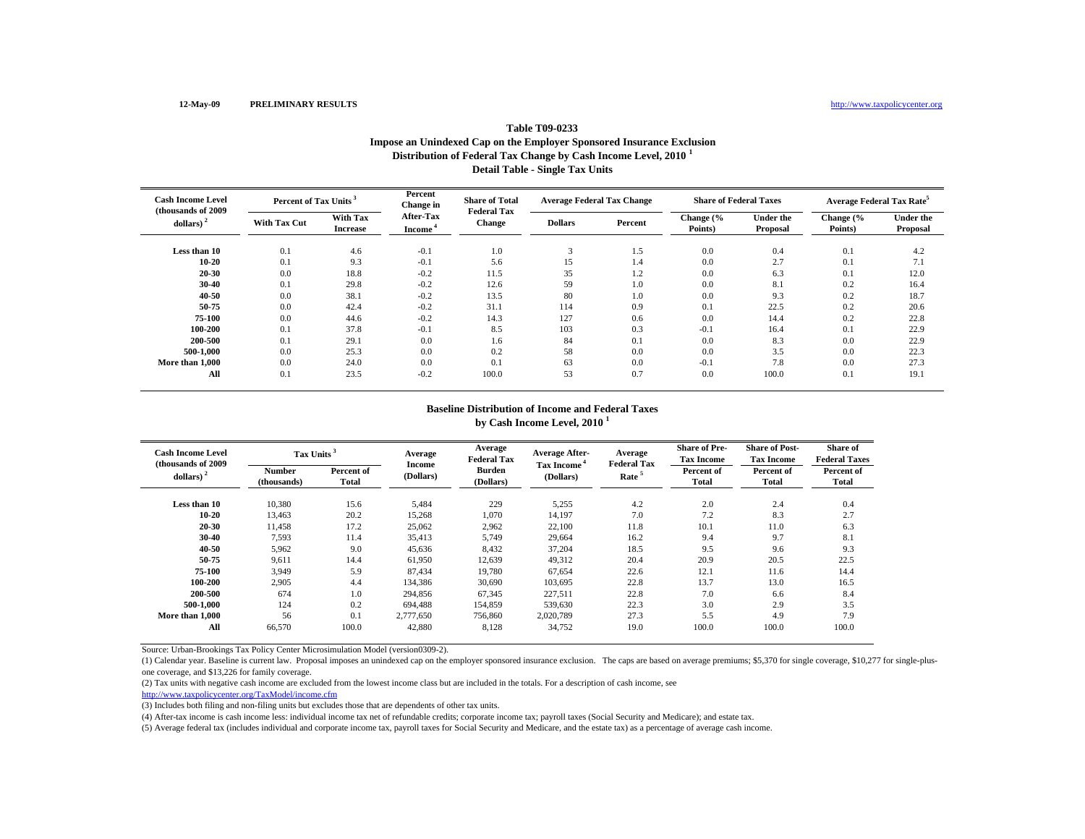# **Table T09-0233Impose an Unindexed Cap on the Employer Sponsored Insurance Exclusion Distribution of Federal Tax Change by Cash Income Level, 2010 <sup>1</sup> Detail Table - Single Tax Units**

| <b>Cash Income Level</b><br>(thousands of 2009) | Percent of Tax Units <sup>3</sup> |                             | Percent<br>Change in                    | <b>Share of Total</b><br><b>Federal Tax</b> | <b>Average Federal Tax Change</b> |         | <b>Share of Federal Taxes</b> |                              | <b>Average Federal Tax Rate<sup>5</sup></b> |                              |
|-------------------------------------------------|-----------------------------------|-----------------------------|-----------------------------------------|---------------------------------------------|-----------------------------------|---------|-------------------------------|------------------------------|---------------------------------------------|------------------------------|
| dollars)                                        | <b>With Tax Cut</b>               | With Tax<br><b>Increase</b> | <b>After-Tax</b><br>Income <sup>1</sup> | Change                                      | <b>Dollars</b>                    | Percent | Change (%<br>Points)          | <b>Under the</b><br>Proposal | Change (%<br>Points)                        | <b>Under the</b><br>Proposal |
| Less than 10                                    | 0.1                               | 4.6                         | $-0.1$                                  | 1.0                                         | 3                                 | 1.5     | 0.0                           | 0.4                          | 0.1                                         | 4.2                          |
| 10-20                                           | 0.1                               | 9.3                         | $-0.1$                                  | 5.6                                         | 15                                | 1.4     | 0.0                           | 2.7                          | 0.1                                         | 7.1                          |
| 20-30                                           | 0.0                               | 18.8                        | $-0.2$                                  | 11.5                                        | 35                                | 1.2     | 0.0                           | 6.3                          | 0.1                                         | 12.0                         |
| 30-40                                           | 0.1                               | 29.8                        | $-0.2$                                  | 12.6                                        | 59                                | 1.0     | 0.0                           | 8.1                          | 0.2                                         | 16.4                         |
| 40-50                                           | 0.0                               | 38.1                        | $-0.2$                                  | 13.5                                        | 80                                | 1.0     | 0.0                           | 9.3                          | 0.2                                         | 18.7                         |
| 50-75                                           | 0.0                               | 42.4                        | $-0.2$                                  | 31.1                                        | 114                               | 0.9     | 0.1                           | 22.5                         | 0.2                                         | 20.6                         |
| 75-100                                          | 0.0                               | 44.6                        | $-0.2$                                  | 14.3                                        | 127                               | 0.6     | 0.0                           | 14.4                         | 0.2                                         | 22.8                         |
| 100-200                                         | 0.1                               | 37.8                        | $-0.1$                                  | 8.5                                         | 103                               | 0.3     | $-0.1$                        | 16.4                         | 0.1                                         | 22.9                         |
| 200-500                                         | 0.1                               | 29.1                        | 0.0                                     | 1.6                                         | 84                                | 0.1     | 0.0                           | 8.3                          | 0.0                                         | 22.9                         |
| 500-1.000                                       | 0.0                               | 25.3                        | 0.0                                     | 0.2                                         | 58                                | 0.0     | 0.0                           | 3.5                          | 0.0                                         | 22.3                         |
| More than 1,000                                 | 0.0                               | 24.0                        | 0.0                                     | 0.1                                         | 63                                | 0.0     | $-0.1$                        | 7.8                          | 0.0                                         | 27.3                         |
| All                                             | 0.1                               | 23.5                        | $-0.2$                                  | 100.0                                       | 53                                | 0.7     | 0.0                           | 100.0                        | 0.1                                         | 19.1                         |

#### **Baseline Distribution of Income and Federal Taxes by Cash Income Level, 2010 <sup>1</sup>**

| <b>Cash Income Level</b><br>(thousands of 2009) | Tax Units <sup>3</sup> |                     | Average                    | Average<br><b>Federal Tax</b> | <b>Average After-</b>          | Average<br><b>Federal Tax</b> | <b>Share of Pre-</b><br><b>Tax Income</b> | <b>Share of Post-</b><br><b>Tax Income</b> | Share of<br><b>Federal Taxes</b> |
|-------------------------------------------------|------------------------|---------------------|----------------------------|-------------------------------|--------------------------------|-------------------------------|-------------------------------------------|--------------------------------------------|----------------------------------|
| dollars) $2$                                    | Number<br>(thousands)  | Percent of<br>Total | <b>Income</b><br>(Dollars) | <b>Burden</b><br>(Dollars)    | <b>Tax Income</b><br>(Dollars) | Rate <sup>5</sup>             | Percent of<br>Total                       | Percent of<br>Total                        | Percent of<br>Total              |
| Less than 10<br>10-20                           | 10.380                 | 15.6                | 5,484                      | 229                           | 5,255                          | 4.2<br>7.0                    | 2.0<br>7.2                                | 2.4<br>8.3                                 | 0.4                              |
| 20-30                                           | 13,463<br>11.458       | 20.2<br>17.2        | 15,268<br>25,062           | 1,070<br>2,962                | 14,197<br>22.100               | 11.8                          | 10.1                                      | 11.0                                       | 2.7<br>6.3                       |
| 30-40<br>40-50                                  | 7,593<br>5,962         | 11.4<br>9.0         | 35,413<br>45,636           | 5,749<br>8,432                | 29,664<br>37,204               | 16.2<br>18.5                  | 9.4<br>9.5                                | 9.7<br>9.6                                 | 8.1<br>9.3                       |
| 50-75<br>75-100                                 | 9,611<br>3,949         | 14.4<br>5.9         | 61,950<br>87,434           | 12,639<br>19,780              | 49,312<br>67,654               | 20.4<br>22.6                  | 20.9<br>12.1                              | 20.5<br>11.6                               | 22.5<br>14.4                     |
| 100-200<br>200-500                              | 2.905<br>674           | 4.4<br>1.0          | 134.386<br>294,856         | 30,690<br>67,345              | 103.695<br>227,511             | 22.8<br>22.8                  | 13.7<br>7.0                               | 13.0<br>6.6                                | 16.5<br>8.4                      |
| 500-1.000<br>More than 1.000                    | 124<br>56              | 0.2<br>0.1          | 694.488<br>2,777,650       | 154,859<br>756,860            | 539,630<br>2,020,789           | 22.3<br>27.3                  | 3.0<br>5.5                                | 2.9<br>4.9                                 | 3.5<br>7.9                       |
| All                                             | 66,570                 | 100.0               | 42,880                     | 8,128                         | 34,752                         | 19.0                          | 100.0                                     | 100.0                                      | 100.0                            |

Source: Urban-Brookings Tax Policy Center Microsimulation Model (version0309-2).

(1) Calendar year. Baseline is current law. Proposal imposes an unindexed cap on the employer sponsored insurance exclusion. The caps are based on average premiums; \$5,370 for single coverage, \$10,277 for single-plusone coverage, and \$13,226 for family coverage.

(2) Tax units with negative cash income are excluded from the lowest income class but are included in the totals. For a description of cash income, see

http://www.taxpolicycenter.org/TaxModel/income.cfm

(3) Includes both filing and non-filing units but excludes those that are dependents of other tax units.

(4) After-tax income is cash income less: individual income tax net of refundable credits; corporate income tax; payroll taxes (Social Security and Medicare); and estate tax.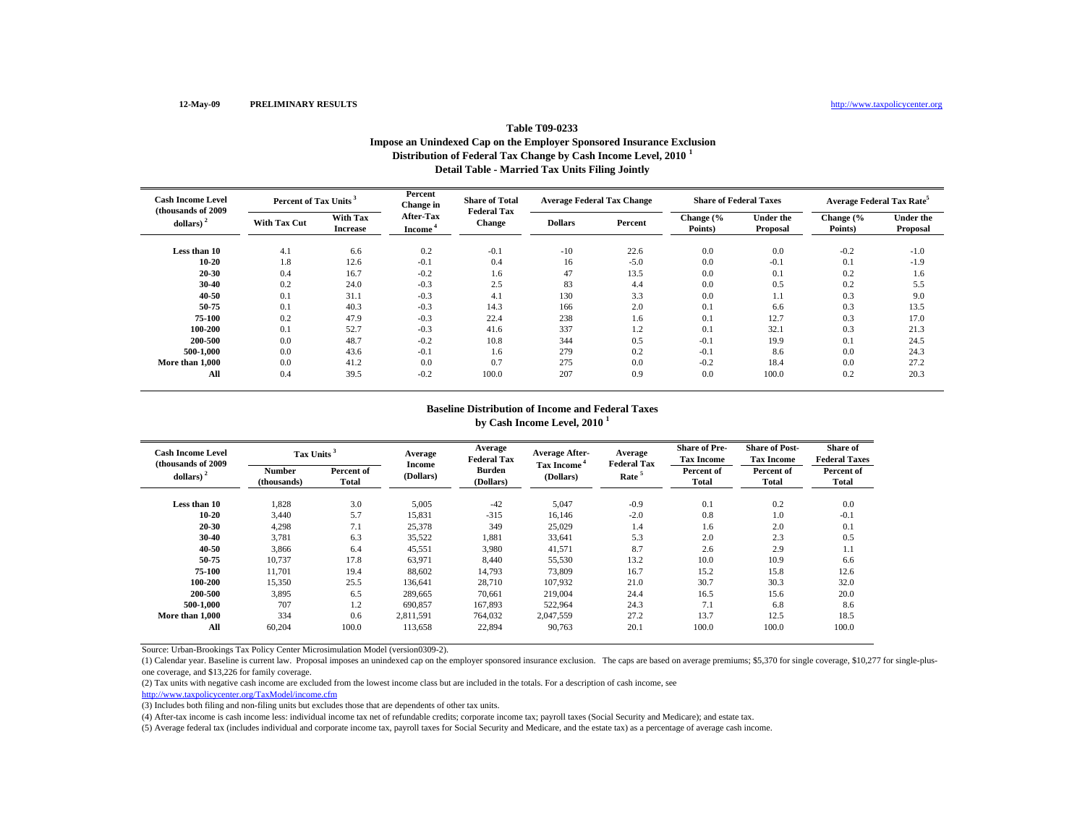# **Table T09-0233Impose an Unindexed Cap on the Employer Sponsored Insurance Exclusion Distribution of Federal Tax Change by Cash Income Level, 2010 <sup>1</sup> Detail Table - Married Tax Units Filing Jointly**

| <b>Cash Income Level</b><br>(thousands of 2009) | Percent of Tax Units <sup>3</sup> |                             | Percent<br>Change in             | <b>Share of Total</b><br><b>Federal Tax</b> | <b>Average Federal Tax Change</b> |         | <b>Share of Federal Taxes</b> |                              | <b>Average Federal Tax Rate<sup>5</sup></b> |                              |
|-------------------------------------------------|-----------------------------------|-----------------------------|----------------------------------|---------------------------------------------|-----------------------------------|---------|-------------------------------|------------------------------|---------------------------------------------|------------------------------|
| dollars)                                        | <b>With Tax Cut</b>               | With Tax<br><b>Increase</b> | After-Tax<br>Income <sup>'</sup> | <b>Change</b>                               | <b>Dollars</b>                    | Percent | Change (%<br>Points)          | <b>Under the</b><br>Proposal | Change (%<br>Points)                        | <b>Under the</b><br>Proposal |
| Less than 10                                    | 4.1                               | 6.6                         | 0.2                              | $-0.1$                                      | $-10$                             | 22.6    | 0.0                           | 0.0                          | $-0.2$                                      | $-1.0$                       |
| 10-20                                           | 1.8                               | 12.6                        | $-0.1$                           | 0.4                                         | 16                                | $-5.0$  | 0.0                           | $-0.1$                       | 0.1                                         | $-1.9$                       |
| 20-30                                           | 0.4                               | 16.7                        | $-0.2$                           | 1.6                                         | 47                                | 13.5    | 0.0                           | 0.1                          | 0.2                                         | 1.6                          |
| 30-40                                           | 0.2                               | 24.0                        | $-0.3$                           | 2.5                                         | 83                                | 4.4     | 0.0                           | 0.5                          | 0.2                                         | 5.5                          |
| 40-50                                           | 0.1                               | 31.1                        | $-0.3$                           | 4.1                                         | 130                               | 3.3     | 0.0                           | 1.1                          | 0.3                                         | 9.0                          |
| 50-75                                           | 0.1                               | 40.3                        | $-0.3$                           | 14.3                                        | 166                               | 2.0     | 0.1                           | 6.6                          | 0.3                                         | 13.5                         |
| 75-100                                          | 0.2                               | 47.9                        | $-0.3$                           | 22.4                                        | 238                               | 1.6     | 0.1                           | 12.7                         | 0.3                                         | 17.0                         |
| 100-200                                         | 0.1                               | 52.7                        | $-0.3$                           | 41.6                                        | 337                               | 1.2     | 0.1                           | 32.1                         | 0.3                                         | 21.3                         |
| 200-500                                         | 0.0                               | 48.7                        | $-0.2$                           | 10.8                                        | 344                               | 0.5     | $-0.1$                        | 19.9                         | 0.1                                         | 24.5                         |
| 500-1,000                                       | 0.0                               | 43.6                        | $-0.1$                           | 1.6                                         | 279                               | 0.2     | $-0.1$                        | 8.6                          | 0.0                                         | 24.3                         |
| More than 1,000                                 | 0.0                               | 41.2                        | 0.0                              | 0.7                                         | 275                               | 0.0     | $-0.2$                        | 18.4                         | 0.0                                         | 27.2                         |
| All                                             | 0.4                               | 39.5                        | $-0.2$                           | 100.0                                       | 207                               | 0.9     | 0.0                           | 100.0                        | 0.2                                         | 20.3                         |

#### **Baseline Distribution of Income and Federal Taxes by Cash Income Level, 2010 <sup>1</sup>**

| <b>Cash Income Level</b><br>(thousands of 2009) | Tax Units <sup>3</sup>       |                     | Average             | Average<br><b>Federal Tax</b> | <b>Average After-</b>                | Average<br><b>Federal Tax</b> | <b>Share of Pre-</b><br><b>Tax Income</b> | <b>Share of Post-</b><br><b>Tax Income</b> | Share of<br><b>Federal Taxes</b> |
|-------------------------------------------------|------------------------------|---------------------|---------------------|-------------------------------|--------------------------------------|-------------------------------|-------------------------------------------|--------------------------------------------|----------------------------------|
| dollars) $2$                                    | <b>Number</b><br>(thousands) | Percent of<br>Total | Income<br>(Dollars) | <b>Burden</b><br>(Dollars)    | Tax Income <sup>4</sup><br>(Dollars) | Rate <sup>5</sup>             | Percent of<br><b>Total</b>                | Percent of<br>Total                        | Percent of<br>Total              |
| Less than 10                                    | 1,828                        | 3.0                 | 5,005               | $-42$                         | 5,047                                | $-0.9$                        | 0.1                                       | 0.2                                        | 0.0                              |
| 10-20                                           | 3.440                        | 5.7                 | 15.831              | $-315$                        | 16.146                               | $-2.0$                        | 0.8                                       | 1.0                                        | $-0.1$                           |
| 20-30                                           | 4,298                        | 7.1                 | 25,378              | 349                           | 25,029                               | 1.4                           | 1.6                                       | 2.0                                        | 0.1                              |
| 30-40                                           | 3,781                        | 6.3                 | 35,522              | 1,881                         | 33,641                               | 5.3                           | 2.0                                       | 2.3                                        | 0.5                              |
| 40-50                                           | 3.866                        | 6.4                 | 45,551              | 3,980                         | 41,571                               | 8.7                           | 2.6                                       | 2.9                                        | 1.1                              |
| 50-75                                           | 10,737                       | 17.8                | 63,971              | 8,440                         | 55,530                               | 13.2                          | 10.0                                      | 10.9                                       | 6.6                              |
| 75-100                                          | 11.701                       | 19.4                | 88.602              | 14,793                        | 73,809                               | 16.7                          | 15.2                                      | 15.8                                       | 12.6                             |
| 100-200                                         | 15,350                       | 25.5                | 136.641             | 28,710                        | 107,932                              | 21.0                          | 30.7                                      | 30.3                                       | 32.0                             |
| 200-500                                         | 3,895                        | 6.5                 | 289,665             | 70,661                        | 219,004                              | 24.4                          | 16.5                                      | 15.6                                       | 20.0                             |
| 500-1.000                                       | 707                          | 1.2                 | 690,857             | 167,893                       | 522,964                              | 24.3                          | 7.1                                       | 6.8                                        | 8.6                              |
| More than 1,000                                 | 334                          | 0.6                 | 2,811,591           | 764,032                       | 2,047,559                            | 27.2                          | 13.7                                      | 12.5                                       | 18.5                             |
| All                                             | 60,204                       | 100.0               | 113.658             | 22,894                        | 90,763                               | 20.1                          | 100.0                                     | 100.0                                      | 100.0                            |

Source: Urban-Brookings Tax Policy Center Microsimulation Model (version0309-2).

(1) Calendar year. Baseline is current law. Proposal imposes an unindexed cap on the employer sponsored insurance exclusion. The caps are based on average premiums; \$5,370 for single coverage, \$10,277 for single-plusone coverage, and \$13,226 for family coverage.

(2) Tax units with negative cash income are excluded from the lowest income class but are included in the totals. For a description of cash income, see

http://www.taxpolicycenter.org/TaxModel/income.cfm

(3) Includes both filing and non-filing units but excludes those that are dependents of other tax units.

(4) After-tax income is cash income less: individual income tax net of refundable credits; corporate income tax; payroll taxes (Social Security and Medicare); and estate tax.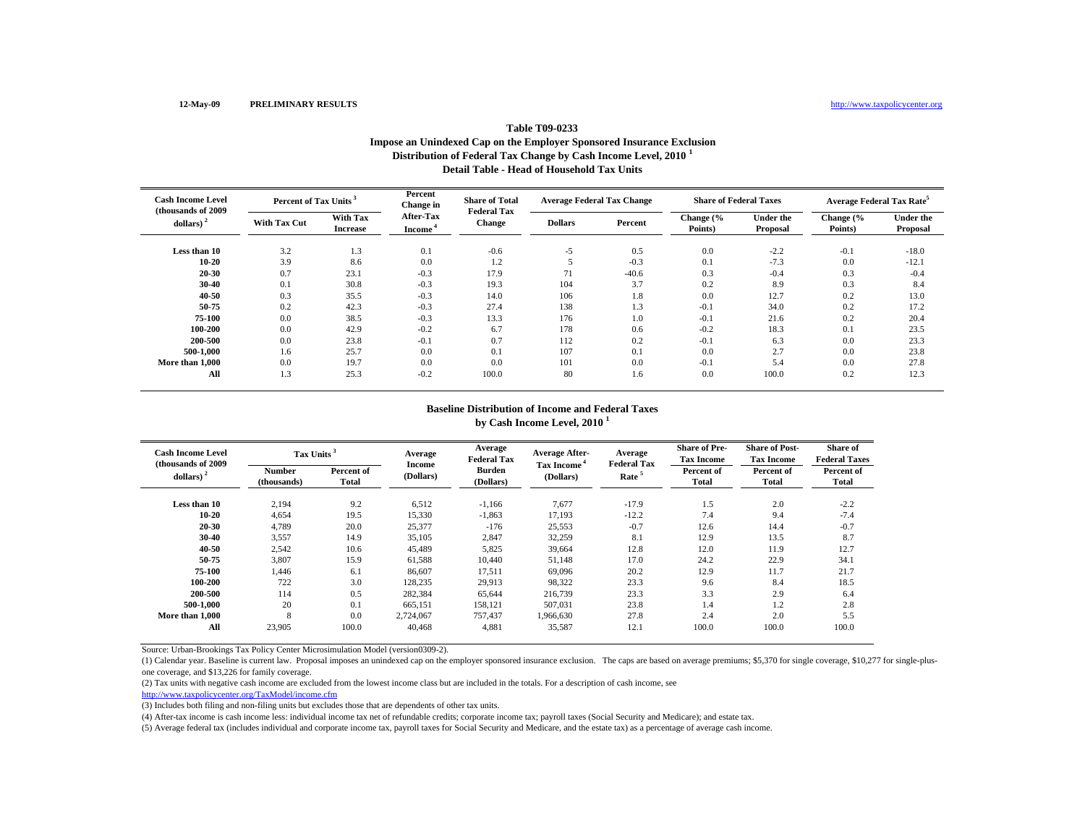## **Table T09-0233Impose an Unindexed Cap on the Employer Sponsored Insurance Exclusion Distribution of Federal Tax Change by Cash Income Level, 2010 <sup>1</sup> Detail Table - Head of Household Tax Units**

| <b>Cash Income Level</b><br>(thousands of 2009) | Percent of Tax Units <sup>3</sup> |                             | Percent<br>Change in             | <b>Share of Total</b><br><b>Federal Tax</b> | <b>Average Federal Tax Change</b> |         | <b>Share of Federal Taxes</b> |                              | <b>Average Federal Tax Rate<sup>5</sup></b> |                              |
|-------------------------------------------------|-----------------------------------|-----------------------------|----------------------------------|---------------------------------------------|-----------------------------------|---------|-------------------------------|------------------------------|---------------------------------------------|------------------------------|
| dollars)                                        | <b>With Tax Cut</b>               | With Tax<br><b>Increase</b> | After-Tax<br>Income <sup>1</sup> | <b>Change</b>                               | <b>Dollars</b>                    | Percent | Change (%<br>Points)          | <b>Under the</b><br>Proposal | Change (%<br>Points)                        | <b>Under the</b><br>Proposal |
| Less than 10                                    | 3.2                               | 1.3                         | 0.1                              | $-0.6$                                      | $-5$                              | 0.5     | 0.0                           | $-2.2$                       | $-0.1$                                      | $-18.0$                      |
| 10-20                                           | 3.9                               | 8.6                         | 0.0                              | 1.2                                         |                                   | $-0.3$  | 0.1                           | $-7.3$                       | 0.0                                         | $-12.1$                      |
| 20-30                                           | 0.7                               | 23.1                        | $-0.3$                           | 17.9                                        | 71                                | $-40.6$ | 0.3                           | $-0.4$                       | 0.3                                         | $-0.4$                       |
| 30-40                                           | 0.1                               | 30.8                        | $-0.3$                           | 19.3                                        | 104                               | 3.7     | 0.2                           | 8.9                          | 0.3                                         | 8.4                          |
| 40-50                                           | 0.3                               | 35.5                        | $-0.3$                           | 14.0                                        | 106                               | 1.8     | 0.0                           | 12.7                         | 0.2                                         | 13.0                         |
| 50-75                                           | 0.2                               | 42.3                        | $-0.3$                           | 27.4                                        | 138                               | 1.3     | $-0.1$                        | 34.0                         | 0.2                                         | 17.2                         |
| 75-100                                          | 0.0                               | 38.5                        | $-0.3$                           | 13.3                                        | 176                               | 1.0     | $-0.1$                        | 21.6                         | 0.2                                         | 20.4                         |
| 100-200                                         | 0.0                               | 42.9                        | $-0.2$                           | 6.7                                         | 178                               | 0.6     | $-0.2$                        | 18.3                         | 0.1                                         | 23.5                         |
| 200-500                                         | 0.0                               | 23.8                        | $-0.1$                           | 0.7                                         | 112                               | 0.2     | $-0.1$                        | 6.3                          | 0.0                                         | 23.3                         |
| 500-1.000                                       | 1.6                               | 25.7                        | 0.0                              | 0.1                                         | 107                               | 0.1     | 0.0                           | 2.7                          | 0.0                                         | 23.8                         |
| More than 1,000                                 | 0.0                               | 19.7                        | 0.0                              | 0.0                                         | 101                               | 0.0     | $-0.1$                        | 5.4                          | 0.0                                         | 27.8                         |
| All                                             | 1.3                               | 25.3                        | $-0.2$                           | 100.0                                       | 80                                | 1.6     | 0.0                           | 100.0                        | 0.2                                         | 12.3                         |

#### **Baseline Distribution of Income and Federal Taxes by Cash Income Level, 2010 <sup>1</sup>**

| <b>Cash Income Level</b><br>(thousands of 2009) | Tax Units <sup>3</sup>       |                            | Average             | Average<br><b>Federal Tax</b> | <b>Average After-</b>                | Average<br><b>Federal Tax</b> | <b>Share of Pre-</b><br><b>Tax Income</b> | <b>Share of Post-</b><br><b>Tax Income</b> | Share of<br><b>Federal Taxes</b> |
|-------------------------------------------------|------------------------------|----------------------------|---------------------|-------------------------------|--------------------------------------|-------------------------------|-------------------------------------------|--------------------------------------------|----------------------------------|
| dollars) $2$                                    | <b>Number</b><br>(thousands) | Percent of<br><b>Total</b> | Income<br>(Dollars) | <b>Burden</b><br>(Dollars)    | Tax Income <sup>4</sup><br>(Dollars) | Rate <sup>5</sup>             | Percent of<br>Total                       | Percent of<br>Total                        | Percent of<br>Total              |
| Less than 10                                    | 2,194                        | 9.2                        | 6,512               | $-1,166$                      | 7,677                                | $-17.9$                       | 1.5                                       | 2.0                                        | $-2.2$                           |
| 10-20                                           | 4,654                        | 19.5                       | 15,330              | $-1,863$                      | 17,193                               | $-12.2$                       | 7.4                                       | 9.4                                        | $-7.4$                           |
| 20-30                                           | 4,789                        | 20.0                       | 25,377              | $-176$                        | 25,553                               | $-0.7$                        | 12.6                                      | 14.4                                       | $-0.7$                           |
| 30-40                                           | 3,557                        | 14.9                       | 35,105              | 2,847                         | 32,259                               | 8.1                           | 12.9                                      | 13.5                                       | 8.7                              |
| 40-50                                           | 2,542                        | 10.6                       | 45,489              | 5,825                         | 39,664                               | 12.8                          | 12.0                                      | 11.9                                       | 12.7                             |
| 50-75                                           | 3,807                        | 15.9                       | 61,588              | 10,440                        | 51,148                               | 17.0                          | 24.2                                      | 22.9                                       | 34.1                             |
| 75-100                                          | 1.446                        | 6.1                        | 86,607              | 17,511                        | 69.096                               | 20.2                          | 12.9                                      | 11.7                                       | 21.7                             |
| 100-200                                         | 722                          | 3.0                        | 128.235             | 29,913                        | 98,322                               | 23.3                          | 9.6                                       | 8.4                                        | 18.5                             |
| 200-500                                         | 114                          | 0.5                        | 282,384             | 65,644                        | 216,739                              | 23.3                          | 3.3                                       | 2.9                                        | 6.4                              |
| 500-1.000                                       | 20                           | 0.1                        | 665,151             | 158,121                       | 507,031                              | 23.8                          | 1.4                                       | 1.2                                        | 2.8                              |
| More than 1.000                                 | 8                            | 0.0                        | 2,724,067           | 757.437                       | 1,966,630                            | 27.8                          | 2.4                                       | 2.0                                        | 5.5                              |
| All                                             | 23,905                       | 100.0                      | 40.468              | 4,881                         | 35,587                               | 12.1                          | 100.0                                     | 100.0                                      | 100.0                            |

Source: Urban-Brookings Tax Policy Center Microsimulation Model (version0309-2).

(1) Calendar year. Baseline is current law. Proposal imposes an unindexed cap on the employer sponsored insurance exclusion. The caps are based on average premiums; \$5,370 for single coverage, \$10,277 for single-plusone coverage, and \$13,226 for family coverage.

(2) Tax units with negative cash income are excluded from the lowest income class but are included in the totals. For a description of cash income, see

http://www.taxpolicycenter.org/TaxModel/income.cfm

(3) Includes both filing and non-filing units but excludes those that are dependents of other tax units.

(4) After-tax income is cash income less: individual income tax net of refundable credits; corporate income tax; payroll taxes (Social Security and Medicare); and estate tax.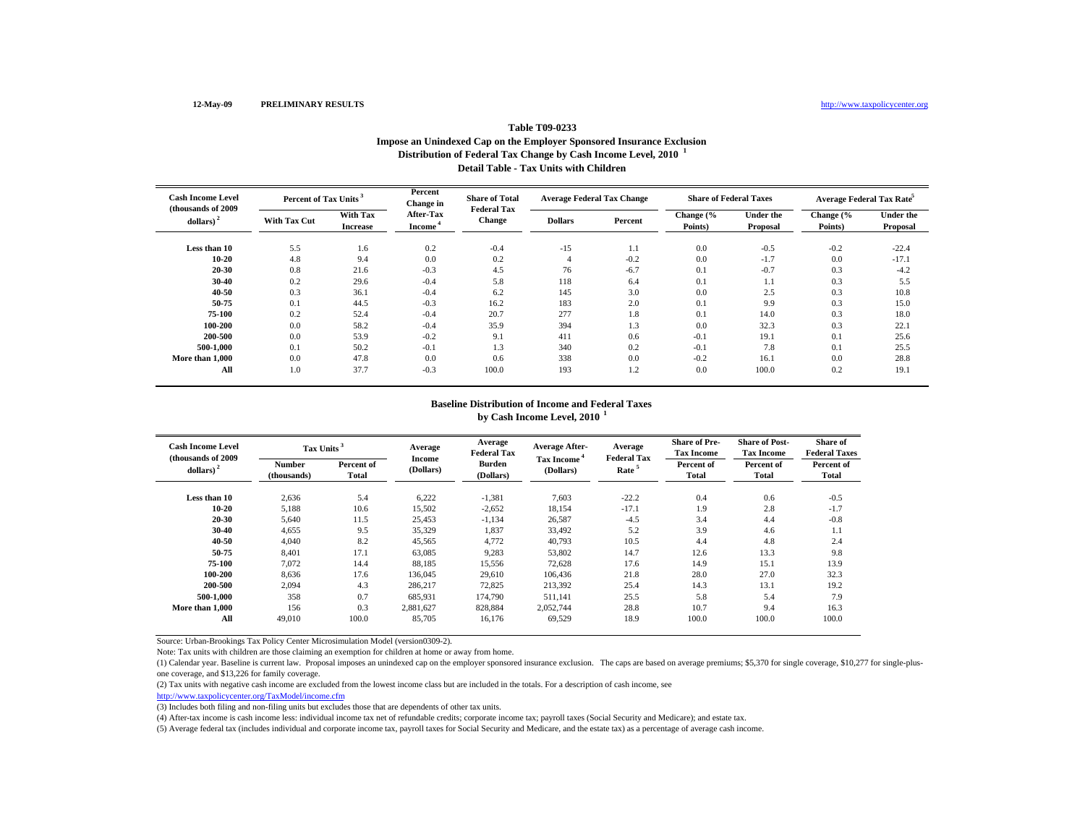#### **Table T09-0233 Impose an Unindexed Cap on the Employer Sponsored Insurance Exclusion Distribution of Federal Tax Change by Cash Income Level, 2010 <sup>1</sup> Detail Table - Tax Units with Children**

| <b>Cash Income Level</b><br>(thousands of 2009) | Percent of Tax Units |                             | Percent<br>Change in                    | <b>Share of Total</b><br><b>Federal Tax</b> | <b>Average Federal Tax Change</b> |         | <b>Share of Federal Taxes</b> |                              | Average Federal Tax Rate <sup>5</sup> |                       |
|-------------------------------------------------|----------------------|-----------------------------|-----------------------------------------|---------------------------------------------|-----------------------------------|---------|-------------------------------|------------------------------|---------------------------------------|-----------------------|
| dollars) <sup>2</sup>                           | <b>With Tax Cut</b>  | With Tax<br><b>Increase</b> | <b>After-Tax</b><br>Income <sup>*</sup> | <b>Change</b>                               | <b>Dollars</b>                    | Percent | Change (%<br>Points)          | <b>Under the</b><br>Proposal | Change (%<br>Points)                  | Under the<br>Proposal |
| Less than 10                                    | 5.5                  | 1.6                         | 0.2                                     | $-0.4$                                      | $-15$                             | 1.1     | 0.0                           | $-0.5$                       | $-0.2$                                | $-22.4$               |
| $10 - 20$                                       | 4.8                  | 9.4                         | 0.0                                     | 0.2                                         |                                   | $-0.2$  | 0.0                           | $-1.7$                       | 0.0                                   | $-17.1$               |
| 20-30                                           | 0.8                  | 21.6                        | $-0.3$                                  | 4.5                                         | 76                                | $-6.7$  | 0.1                           | $-0.7$                       | 0.3                                   | $-4.2$                |
| 30-40                                           | 0.2                  | 29.6                        | $-0.4$                                  | 5.8                                         | 118                               | 6.4     | 0.1                           | 1.1                          | 0.3                                   | 5.5                   |
| 40-50                                           | 0.3                  | 36.1                        | $-0.4$                                  | 6.2                                         | 145                               | 3.0     | 0.0                           | 2.5                          | 0.3                                   | 10.8                  |
| 50-75                                           | 0.1                  | 44.5                        | $-0.3$                                  | 16.2                                        | 183                               | 2.0     | 0.1                           | 9.9                          | 0.3                                   | 15.0                  |
| 75-100                                          | 0.2                  | 52.4                        | $-0.4$                                  | 20.7                                        | 277                               | 1.8     | 0.1                           | 14.0                         | 0.3                                   | 18.0                  |
| 100-200                                         | 0.0                  | 58.2                        | $-0.4$                                  | 35.9                                        | 394                               | 1.3     | 0.0                           | 32.3                         | 0.3                                   | 22.1                  |
| 200-500                                         | 0.0                  | 53.9                        | $-0.2$                                  | 9.1                                         | 411                               | 0.6     | $-0.1$                        | 19.1                         | 0.1                                   | 25.6                  |
| 500-1.000                                       | 0.1                  | 50.2                        | $-0.1$                                  | 1.3                                         | 340                               | 0.2     | $-0.1$                        | 7.8                          | 0.1                                   | 25.5                  |
| More than 1,000                                 | 0.0                  | 47.8                        | 0.0                                     | 0.6                                         | 338                               | 0.0     | $-0.2$                        | 16.1                         | 0.0                                   | 28.8                  |
| All                                             | 1.0                  | 37.7                        | $-0.3$                                  | 100.0                                       | 193                               | 1.2     | 0.0                           | 100.0                        | 0.2                                   | 19.1                  |

## **Baseline Distribution of Income and Federal Taxesby Cash Income Level, 2010 <sup>1</sup>**

| <b>Cash Income Level</b><br>(thousands of 2009) | Tax Units <sup>3</sup>       |                     | Average                    | Average<br><b>Federal Tax</b> | <b>Average After-</b>                | Average<br><b>Federal Tax</b> | <b>Share of Pre-</b><br><b>Tax Income</b> | <b>Share of Post-</b><br><b>Tax Income</b> | <b>Share of</b><br><b>Federal Taxes</b> |
|-------------------------------------------------|------------------------------|---------------------|----------------------------|-------------------------------|--------------------------------------|-------------------------------|-------------------------------------------|--------------------------------------------|-----------------------------------------|
| dollars) <sup>2</sup>                           | <b>Number</b><br>(thousands) | Percent of<br>Total | <b>Income</b><br>(Dollars) | <b>Burden</b><br>(Dollars)    | Tax Income <sup>4</sup><br>(Dollars) | Rate                          | Percent of<br><b>Total</b>                | Percent of<br>Total                        | Percent of<br>Total                     |
| Less than 10                                    | 2,636                        | 5.4                 | 6,222                      | $-1,381$                      | 7,603                                | $-22.2$                       | 0.4                                       | 0.6                                        | $-0.5$                                  |
| $10 - 20$                                       | 5,188                        | 10.6                | 15,502                     | $-2,652$                      | 18,154                               | $-17.1$                       | 1.9                                       | 2.8                                        | $-1.7$                                  |
| 20-30                                           | 5,640                        | 11.5                | 25,453                     | $-1,134$                      | 26,587                               | $-4.5$                        | 3.4                                       | 4.4                                        | $-0.8$                                  |
| 30-40                                           | 4,655                        | 9.5                 | 35,329                     | 1,837                         | 33,492                               | 5.2                           | 3.9                                       | 4.6                                        | 1.1                                     |
| 40-50                                           | 4,040                        | 8.2                 | 45,565                     | 4,772                         | 40,793                               | 10.5                          | 4.4                                       | 4.8                                        | 2.4                                     |
| 50-75                                           | 8,401                        | 17.1                | 63,085                     | 9,283                         | 53,802                               | 14.7                          | 12.6                                      | 13.3                                       | 9.8                                     |
| 75-100                                          | 7,072                        | 14.4                | 88,185                     | 15,556                        | 72,628                               | 17.6                          | 14.9                                      | 15.1                                       | 13.9                                    |
| 100-200                                         | 8,636                        | 17.6                | 136,045                    | 29,610                        | 106,436                              | 21.8                          | 28.0                                      | 27.0                                       | 32.3                                    |
| 200-500                                         | 2.094                        | 4.3                 | 286,217                    | 72,825                        | 213.392                              | 25.4                          | 14.3                                      | 13.1                                       | 19.2                                    |
| 500-1.000                                       | 358                          | 0.7                 | 685,931                    | 174.790                       | 511.141                              | 25.5                          | 5.8                                       | 5.4                                        | 7.9                                     |
| More than 1.000                                 | 156                          | 0.3                 | 2.881.627                  | 828,884                       | 2,052,744                            | 28.8                          | 10.7                                      | 9.4                                        | 16.3                                    |
| All                                             | 49,010                       | 100.0               | 85,705                     | 16,176                        | 69,529                               | 18.9                          | 100.0                                     | 100.0                                      | 100.0                                   |

Source: Urban-Brookings Tax Policy Center Microsimulation Model (version0309-2).

Note: Tax units with children are those claiming an exemption for children at home or away from home.

(1) Calendar year. Baseline is current law. Proposal imposes an unindexed cap on the employer sponsored insurance exclusion. The caps are based on average premiums; \$5,370 for single coverage, \$10,277 for single-plusone coverage, and \$13,226 for family coverage.

(2) Tax units with negative cash income are excluded from the lowest income class but are included in the totals. For a description of cash income, see

http://www.taxpolicycenter.org/TaxModel/income.cfm

(3) Includes both filing and non-filing units but excludes those that are dependents of other tax units.

(4) After-tax income is cash income less: individual income tax net of refundable credits; corporate income tax; payroll taxes (Social Security and Medicare); and estate tax.